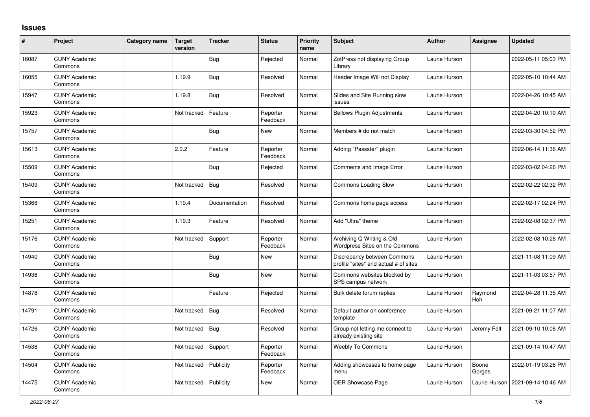## **Issues**

| $\vert$ # | Project                         | Category name | <b>Target</b><br>version | <b>Tracker</b> | <b>Status</b>        | <b>Priority</b><br>name | <b>Subject</b>                                                       | <b>Author</b> | <b>Assignee</b> | <b>Updated</b>      |
|-----------|---------------------------------|---------------|--------------------------|----------------|----------------------|-------------------------|----------------------------------------------------------------------|---------------|-----------------|---------------------|
| 16087     | <b>CUNY Academic</b><br>Commons |               |                          | Bug            | Rejected             | Normal                  | ZotPress not displaying Group<br>Librarv                             | Laurie Hurson |                 | 2022-05-11 05:03 PM |
| 16055     | <b>CUNY Academic</b><br>Commons |               | 1.19.9                   | <b>Bug</b>     | Resolved             | Normal                  | Header Image Will not Display                                        | Laurie Hurson |                 | 2022-05-10 10:44 AM |
| 15947     | <b>CUNY Academic</b><br>Commons |               | 1.19.8                   | Bug            | Resolved             | Normal                  | Slides and Site Running slow<br>issues                               | Laurie Hurson |                 | 2022-04-26 10:45 AM |
| 15923     | <b>CUNY Academic</b><br>Commons |               | Not tracked              | Feature        | Reporter<br>Feedback | Normal                  | <b>Bellows Plugin Adjustments</b>                                    | Laurie Hurson |                 | 2022-04-20 10:10 AM |
| 15757     | <b>CUNY Academic</b><br>Commons |               |                          | <b>Bug</b>     | New                  | Normal                  | Members # do not match                                               | Laurie Hurson |                 | 2022-03-30 04:52 PM |
| 15613     | <b>CUNY Academic</b><br>Commons |               | 2.0.2                    | Feature        | Reporter<br>Feedback | Normal                  | Adding "Passster" plugin                                             | Laurie Hurson |                 | 2022-06-14 11:36 AM |
| 15509     | <b>CUNY Academic</b><br>Commons |               |                          | <b>Bug</b>     | Rejected             | Normal                  | <b>Comments and Image Error</b>                                      | Laurie Hurson |                 | 2022-03-02 04:26 PM |
| 15409     | <b>CUNY Academic</b><br>Commons |               | Not tracked              | Bug            | Resolved             | Normal                  | <b>Commons Loading Slow</b>                                          | Laurie Hurson |                 | 2022-02-22 02:32 PM |
| 15368     | <b>CUNY Academic</b><br>Commons |               | 1.19.4                   | Documentation  | Resolved             | Normal                  | Commons home page access                                             | Laurie Hurson |                 | 2022-02-17 02:24 PM |
| 15251     | <b>CUNY Academic</b><br>Commons |               | 1.19.3                   | Feature        | Resolved             | Normal                  | Add "Ultra" theme                                                    | Laurie Hurson |                 | 2022-02-08 02:37 PM |
| 15176     | <b>CUNY Academic</b><br>Commons |               | Not tracked              | Support        | Reporter<br>Feedback | Normal                  | Archiving Q Writing & Old<br>Wordpress Sites on the Commons          | Laurie Hurson |                 | 2022-02-08 10:28 AM |
| 14940     | <b>CUNY Academic</b><br>Commons |               |                          | <b>Bug</b>     | New                  | Normal                  | Discrepancy between Commons<br>profile "sites" and actual # of sites | Laurie Hurson |                 | 2021-11-08 11:09 AM |
| 14936     | <b>CUNY Academic</b><br>Commons |               |                          | <b>Bug</b>     | New                  | Normal                  | Commons websites blocked by<br>SPS campus network                    | Laurie Hurson |                 | 2021-11-03 03:57 PM |
| 14878     | <b>CUNY Academic</b><br>Commons |               |                          | Feature        | Rejected             | Normal                  | Bulk delete forum replies                                            | Laurie Hurson | Raymond<br>Hoh  | 2022-04-28 11:35 AM |
| 14791     | <b>CUNY Academic</b><br>Commons |               | Not tracked              | <b>Bug</b>     | Resolved             | Normal                  | Default author on conference<br>template                             | Laurie Hurson |                 | 2021-09-21 11:07 AM |
| 14726     | <b>CUNY Academic</b><br>Commons |               | Not tracked              | Bug            | Resolved             | Normal                  | Group not letting me connect to<br>already existing site             | Laurie Hurson | Jeremy Felt     | 2021-09-10 10:08 AM |
| 14538     | <b>CUNY Academic</b><br>Commons |               | Not tracked              | Support        | Reporter<br>Feedback | Normal                  | <b>Weebly To Commons</b>                                             | Laurie Hurson |                 | 2021-09-14 10:47 AM |
| 14504     | <b>CUNY Academic</b><br>Commons |               | Not tracked              | Publicity      | Reporter<br>Feedback | Normal                  | Adding showcases to home page<br>menu                                | Laurie Hurson | Boone<br>Gorges | 2022-01-19 03:26 PM |
| 14475     | <b>CUNY Academic</b><br>Commons |               | Not tracked              | Publicity      | New                  | Normal                  | OER Showcase Page                                                    | Laurie Hurson | Laurie Hurson   | 2021-09-14 10:46 AM |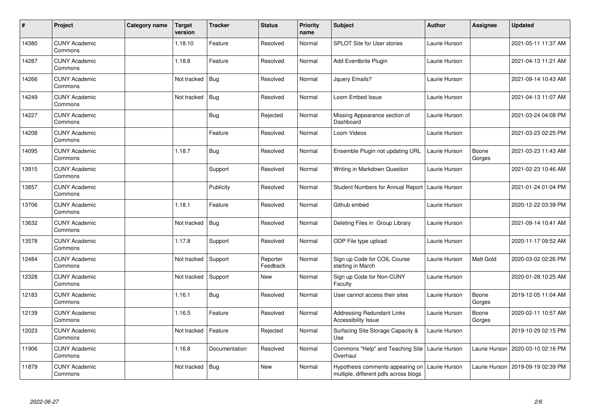| $\sharp$ | Project                         | Category name | <b>Target</b><br>version | <b>Tracker</b> | <b>Status</b>        | <b>Priority</b><br>name | <b>Subject</b>                                                            | <b>Author</b> | <b>Assignee</b>  | <b>Updated</b>      |
|----------|---------------------------------|---------------|--------------------------|----------------|----------------------|-------------------------|---------------------------------------------------------------------------|---------------|------------------|---------------------|
| 14380    | <b>CUNY Academic</b><br>Commons |               | 1.18.10                  | Feature        | Resolved             | Normal                  | <b>SPLOT Site for User stories</b>                                        | Laurie Hurson |                  | 2021-05-11 11:37 AM |
| 14287    | <b>CUNY Academic</b><br>Commons |               | 1.18.8                   | Feature        | Resolved             | Normal                  | Add Eventbrite Plugin                                                     | Laurie Hurson |                  | 2021-04-13 11:21 AM |
| 14266    | <b>CUNY Academic</b><br>Commons |               | Not tracked              | <b>Bug</b>     | Resolved             | Normal                  | Jquery Emails?                                                            | Laurie Hurson |                  | 2021-09-14 10:43 AM |
| 14249    | <b>CUNY Academic</b><br>Commons |               | Not tracked              | <b>Bug</b>     | Resolved             | Normal                  | Loom Embed Issue                                                          | Laurie Hurson |                  | 2021-04-13 11:07 AM |
| 14227    | <b>CUNY Academic</b><br>Commons |               |                          | <b>Bug</b>     | Rejected             | Normal                  | Missing Appearance section of<br>Dashboard                                | Laurie Hurson |                  | 2021-03-24 04:08 PM |
| 14208    | <b>CUNY Academic</b><br>Commons |               |                          | Feature        | Resolved             | Normal                  | Loom Videos                                                               | Laurie Hurson |                  | 2021-03-23 02:25 PM |
| 14095    | <b>CUNY Academic</b><br>Commons |               | 1.18.7                   | <b>Bug</b>     | Resolved             | Normal                  | Ensemble Plugin not updating URL                                          | Laurie Hurson | Boone<br>Gorges  | 2021-03-23 11:43 AM |
| 13915    | <b>CUNY Academic</b><br>Commons |               |                          | Support        | Resolved             | Normal                  | Writing in Markdown Question                                              | Laurie Hurson |                  | 2021-02-23 10:46 AM |
| 13857    | <b>CUNY Academic</b><br>Commons |               |                          | Publicity      | Resolved             | Normal                  | Student Numbers for Annual Report   Laurie Hurson                         |               |                  | 2021-01-24 01:04 PM |
| 13706    | <b>CUNY Academic</b><br>Commons |               | 1.18.1                   | Feature        | Resolved             | Normal                  | Github embed                                                              | Laurie Hurson |                  | 2020-12-22 03:39 PM |
| 13632    | <b>CUNY Academic</b><br>Commons |               | Not tracked              | <b>Bug</b>     | Resolved             | Normal                  | Deleting Files in Group Library                                           | Laurie Hurson |                  | 2021-09-14 10:41 AM |
| 13578    | <b>CUNY Academic</b><br>Commons |               | 1.17.8                   | Support        | Resolved             | Normal                  | ODP File type upload                                                      | Laurie Hurson |                  | 2020-11-17 09:52 AM |
| 12484    | <b>CUNY Academic</b><br>Commons |               | Not tracked              | Support        | Reporter<br>Feedback | Normal                  | Sign up Code for COIL Course<br>starting in March                         | Laurie Hurson | <b>Matt Gold</b> | 2020-03-02 02:26 PM |
| 12328    | <b>CUNY Academic</b><br>Commons |               | Not tracked              | Support        | New                  | Normal                  | Sign up Code for Non-CUNY<br>Faculty                                      | Laurie Hurson |                  | 2020-01-28 10:25 AM |
| 12183    | <b>CUNY Academic</b><br>Commons |               | 1.16.1                   | <b>Bug</b>     | Resolved             | Normal                  | User cannot access their sites                                            | Laurie Hurson | Boone<br>Gorges  | 2019-12-05 11:04 AM |
| 12139    | <b>CUNY Academic</b><br>Commons |               | 1.16.5                   | Feature        | Resolved             | Normal                  | Addressing Redundant Links<br><b>Accessibility Issue</b>                  | Laurie Hurson | Boone<br>Gorges  | 2020-02-11 10:57 AM |
| 12023    | <b>CUNY Academic</b><br>Commons |               | Not tracked              | Feature        | Rejected             | Normal                  | Surfacing Site Storage Capacity &<br>Use                                  | Laurie Hurson |                  | 2019-10-29 02:15 PM |
| 11906    | <b>CUNY Academic</b><br>Commons |               | 1.16.8                   | Documentation  | Resolved             | Normal                  | Commons "Help" and Teaching Site<br>Overhaul                              | Laurie Hurson | Laurie Hurson    | 2020-03-10 02:16 PM |
| 11879    | <b>CUNY Academic</b><br>Commons |               | Not tracked              | <b>Bug</b>     | New                  | Normal                  | Hypothesis comments appearing on<br>multiple, different pdfs across blogs | Laurie Hurson | Laurie Hurson    | 2019-09-19 02:39 PM |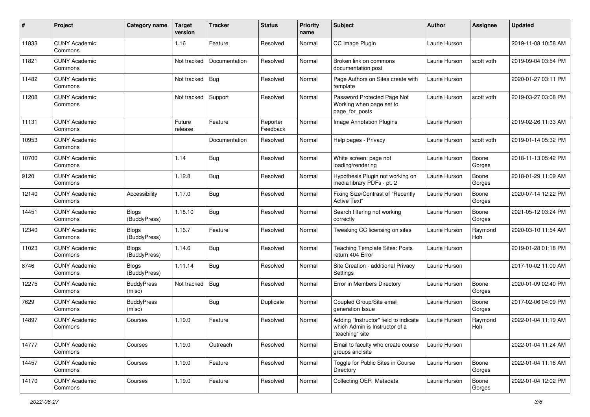| $\sharp$ | Project                         | Category name                | <b>Target</b><br>version | <b>Tracker</b> | <b>Status</b>        | <b>Priority</b><br>name | Subject                                                                                    | <b>Author</b> | <b>Assignee</b> | <b>Updated</b>      |
|----------|---------------------------------|------------------------------|--------------------------|----------------|----------------------|-------------------------|--------------------------------------------------------------------------------------------|---------------|-----------------|---------------------|
| 11833    | <b>CUNY Academic</b><br>Commons |                              | 1.16                     | Feature        | Resolved             | Normal                  | CC Image Plugin                                                                            | Laurie Hurson |                 | 2019-11-08 10:58 AM |
| 11821    | <b>CUNY Academic</b><br>Commons |                              | Not tracked              | Documentation  | Resolved             | Normal                  | Broken link on commons<br>documentation post                                               | Laurie Hurson | scott voth      | 2019-09-04 03:54 PM |
| 11482    | <b>CUNY Academic</b><br>Commons |                              | Not tracked              | Bug            | Resolved             | Normal                  | Page Authors on Sites create with<br>template                                              | Laurie Hurson |                 | 2020-01-27 03:11 PM |
| 11208    | <b>CUNY Academic</b><br>Commons |                              | Not tracked              | Support        | Resolved             | Normal                  | Password Protected Page Not<br>Working when page set to<br>page_for_posts                  | Laurie Hurson | scott voth      | 2019-03-27 03:08 PM |
| 11131    | <b>CUNY Academic</b><br>Commons |                              | Future<br>release        | Feature        | Reporter<br>Feedback | Normal                  | Image Annotation Plugins                                                                   | Laurie Hurson |                 | 2019-02-26 11:33 AM |
| 10953    | <b>CUNY Academic</b><br>Commons |                              |                          | Documentation  | Resolved             | Normal                  | Help pages - Privacy                                                                       | Laurie Hurson | scott voth      | 2019-01-14 05:32 PM |
| 10700    | <b>CUNY Academic</b><br>Commons |                              | 1.14                     | <b>Bug</b>     | Resolved             | Normal                  | White screen: page not<br>loading/rendering                                                | Laurie Hurson | Boone<br>Gorges | 2018-11-13 05:42 PM |
| 9120     | <b>CUNY Academic</b><br>Commons |                              | 1.12.8                   | <b>Bug</b>     | Resolved             | Normal                  | Hypothesis Plugin not working on<br>media library PDFs - pt. 2                             | Laurie Hurson | Boone<br>Gorges | 2018-01-29 11:09 AM |
| 12140    | <b>CUNY Academic</b><br>Commons | Accessibility                | 1.17.0                   | <b>Bug</b>     | Resolved             | Normal                  | Fixing Size/Contrast of "Recently<br><b>Active Text"</b>                                   | Laurie Hurson | Boone<br>Gorges | 2020-07-14 12:22 PM |
| 14451    | <b>CUNY Academic</b><br>Commons | <b>Blogs</b><br>(BuddyPress) | 1.18.10                  | <b>Bug</b>     | Resolved             | Normal                  | Search filtering not working<br>correctly                                                  | Laurie Hurson | Boone<br>Gorges | 2021-05-12 03:24 PM |
| 12340    | <b>CUNY Academic</b><br>Commons | <b>Blogs</b><br>(BuddyPress) | 1.16.7                   | Feature        | Resolved             | Normal                  | Tweaking CC licensing on sites                                                             | Laurie Hurson | Raymond<br>Hoh  | 2020-03-10 11:54 AM |
| 11023    | <b>CUNY Academic</b><br>Commons | <b>Blogs</b><br>(BuddyPress) | 1.14.6                   | Bug            | Resolved             | Normal                  | <b>Teaching Template Sites: Posts</b><br>return 404 Error                                  | Laurie Hurson |                 | 2019-01-28 01:18 PM |
| 8746     | <b>CUNY Academic</b><br>Commons | <b>Blogs</b><br>(BuddyPress) | 1.11.14                  | <b>Bug</b>     | Resolved             | Normal                  | Site Creation - additional Privacy<br>Settings                                             | Laurie Hurson |                 | 2017-10-02 11:00 AM |
| 12275    | <b>CUNY Academic</b><br>Commons | <b>BuddyPress</b><br>(misc)  | Not tracked              | <b>Bug</b>     | Resolved             | Normal                  | Error in Members Directory                                                                 | Laurie Hurson | Boone<br>Gorges | 2020-01-09 02:40 PM |
| 7629     | <b>CUNY Academic</b><br>Commons | <b>BuddyPress</b><br>(misc)  |                          | <b>Bug</b>     | Duplicate            | Normal                  | Coupled Group/Site email<br>generation Issue                                               | Laurie Hurson | Boone<br>Gorges | 2017-02-06 04:09 PM |
| 14897    | <b>CUNY Academic</b><br>Commons | Courses                      | 1.19.0                   | Feature        | Resolved             | Normal                  | Adding "Instructor" field to indicate<br>which Admin is Instructor of a<br>"teaching" site | Laurie Hurson | Raymond<br>Hoh  | 2022-01-04 11:19 AM |
| 14777    | <b>CUNY Academic</b><br>Commons | Courses                      | 1.19.0                   | Outreach       | Resolved             | Normal                  | Email to faculty who create course<br>groups and site                                      | Laurie Hurson |                 | 2022-01-04 11:24 AM |
| 14457    | <b>CUNY Academic</b><br>Commons | Courses                      | 1.19.0                   | Feature        | Resolved             | Normal                  | Toggle for Public Sites in Course<br>Directory                                             | Laurie Hurson | Boone<br>Gorges | 2022-01-04 11:16 AM |
| 14170    | <b>CUNY Academic</b><br>Commons | Courses                      | 1.19.0                   | Feature        | Resolved             | Normal                  | Collecting OER Metadata                                                                    | Laurie Hurson | Boone<br>Gorges | 2022-01-04 12:02 PM |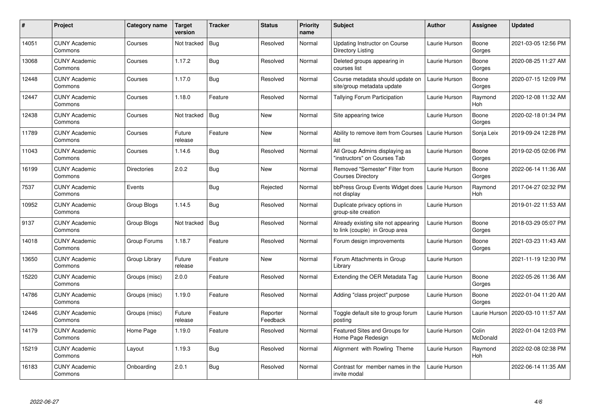| #     | <b>Project</b>                  | Category name | Target<br>version | <b>Tracker</b> | <b>Status</b>        | <b>Priority</b><br>name | <b>Subject</b>                                                        | <b>Author</b> | Assignee          | <b>Updated</b>      |
|-------|---------------------------------|---------------|-------------------|----------------|----------------------|-------------------------|-----------------------------------------------------------------------|---------------|-------------------|---------------------|
| 14051 | <b>CUNY Academic</b><br>Commons | Courses       | Not tracked       | Bug            | Resolved             | Normal                  | Updating Instructor on Course<br>Directory Listing                    | Laurie Hurson | Boone<br>Gorges   | 2021-03-05 12:56 PM |
| 13068 | <b>CUNY Academic</b><br>Commons | Courses       | 1.17.2            | Bug            | Resolved             | Normal                  | Deleted groups appearing in<br>courses list                           | Laurie Hurson | Boone<br>Gorges   | 2020-08-25 11:27 AM |
| 12448 | <b>CUNY Academic</b><br>Commons | Courses       | 1.17.0            | <b>Bug</b>     | Resolved             | Normal                  | Course metadata should update on<br>site/group metadata update        | Laurie Hurson | Boone<br>Gorges   | 2020-07-15 12:09 PM |
| 12447 | <b>CUNY Academic</b><br>Commons | Courses       | 1.18.0            | Feature        | Resolved             | Normal                  | Tallying Forum Participation                                          | Laurie Hurson | Raymond<br>Hoh    | 2020-12-08 11:32 AM |
| 12438 | <b>CUNY Academic</b><br>Commons | Courses       | Not tracked       | <b>Bug</b>     | <b>New</b>           | Normal                  | Site appearing twice                                                  | Laurie Hurson | Boone<br>Gorges   | 2020-02-18 01:34 PM |
| 11789 | <b>CUNY Academic</b><br>Commons | Courses       | Future<br>release | Feature        | <b>New</b>           | Normal                  | Ability to remove item from Courses<br>list                           | Laurie Hurson | Sonja Leix        | 2019-09-24 12:28 PM |
| 11043 | <b>CUNY Academic</b><br>Commons | Courses       | 1.14.6            | <b>Bug</b>     | Resolved             | Normal                  | All Group Admins displaying as<br>'instructors" on Courses Tab        | Laurie Hurson | Boone<br>Gorges   | 2019-02-05 02:06 PM |
| 16199 | <b>CUNY Academic</b><br>Commons | Directories   | 2.0.2             | Bug            | <b>New</b>           | Normal                  | Removed "Semester" Filter from<br><b>Courses Directory</b>            | Laurie Hurson | Boone<br>Gorges   | 2022-06-14 11:36 AM |
| 7537  | <b>CUNY Academic</b><br>Commons | Events        |                   | <b>Bug</b>     | Rejected             | Normal                  | bbPress Group Events Widget does<br>not display                       | Laurie Hurson | Raymond<br>Hoh    | 2017-04-27 02:32 PM |
| 10952 | <b>CUNY Academic</b><br>Commons | Group Blogs   | 1.14.5            | <b>Bug</b>     | Resolved             | Normal                  | Duplicate privacy options in<br>group-site creation                   | Laurie Hurson |                   | 2019-01-22 11:53 AM |
| 9137  | <b>CUNY Academic</b><br>Commons | Group Blogs   | Not tracked       | <b>Bug</b>     | Resolved             | Normal                  | Already existing site not appearing<br>to link (couple) in Group area | Laurie Hurson | Boone<br>Gorges   | 2018-03-29 05:07 PM |
| 14018 | <b>CUNY Academic</b><br>Commons | Group Forums  | 1.18.7            | Feature        | Resolved             | Normal                  | Forum design improvements                                             | Laurie Hurson | Boone<br>Gorges   | 2021-03-23 11:43 AM |
| 13650 | <b>CUNY Academic</b><br>Commons | Group Library | Future<br>release | Feature        | <b>New</b>           | Normal                  | Forum Attachments in Group<br>Librarv                                 | Laurie Hurson |                   | 2021-11-19 12:30 PM |
| 15220 | <b>CUNY Academic</b><br>Commons | Groups (misc) | 2.0.0             | Feature        | Resolved             | Normal                  | Extending the OER Metadata Tag                                        | Laurie Hurson | Boone<br>Gorges   | 2022-05-26 11:36 AM |
| 14786 | <b>CUNY Academic</b><br>Commons | Groups (misc) | 1.19.0            | Feature        | Resolved             | Normal                  | Adding "class project" purpose                                        | Laurie Hurson | Boone<br>Gorges   | 2022-01-04 11:20 AM |
| 12446 | <b>CUNY Academic</b><br>Commons | Groups (misc) | Future<br>release | Feature        | Reporter<br>Feedback | Normal                  | Toggle default site to group forum<br>postina                         | Laurie Hurson | Laurie Hurson     | 2020-03-10 11:57 AM |
| 14179 | <b>CUNY Academic</b><br>Commons | Home Page     | 1.19.0            | Feature        | Resolved             | Normal                  | Featured Sites and Groups for<br>Home Page Redesign                   | Laurie Hurson | Colin<br>McDonald | 2022-01-04 12:03 PM |
| 15219 | <b>CUNY Academic</b><br>Commons | Lavout        | 1.19.3            | Bug            | Resolved             | Normal                  | Alignment with Rowling Theme                                          | Laurie Hurson | Raymond<br>Hoh    | 2022-02-08 02:38 PM |
| 16183 | <b>CUNY Academic</b><br>Commons | Onboarding    | 2.0.1             | Bug            | Resolved             | Normal                  | Contrast for member names in the<br>invite modal                      | Laurie Hurson |                   | 2022-06-14 11:35 AM |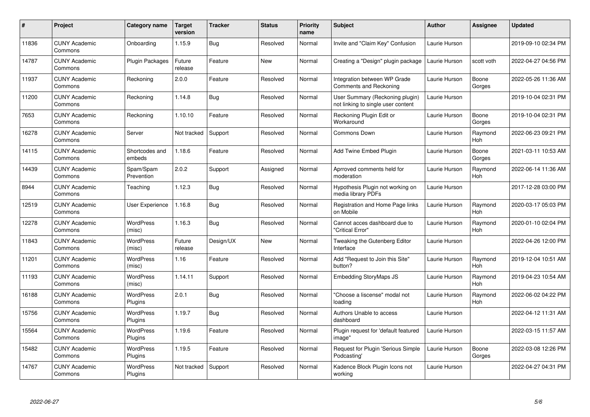| $\pmb{\#}$ | Project                         | Category name               | Target<br>version | <b>Tracker</b> | <b>Status</b> | <b>Priority</b><br>name | <b>Subject</b>                                                        | <b>Author</b> | <b>Assignee</b> | <b>Updated</b>      |
|------------|---------------------------------|-----------------------------|-------------------|----------------|---------------|-------------------------|-----------------------------------------------------------------------|---------------|-----------------|---------------------|
| 11836      | <b>CUNY Academic</b><br>Commons | Onboarding                  | 1.15.9            | Bug            | Resolved      | Normal                  | Invite and "Claim Key" Confusion                                      | Laurie Hurson |                 | 2019-09-10 02:34 PM |
| 14787      | <b>CUNY Academic</b><br>Commons | <b>Plugin Packages</b>      | Future<br>release | Feature        | New           | Normal                  | Creating a "Design" plugin package                                    | Laurie Hurson | scott voth      | 2022-04-27 04:56 PM |
| 11937      | <b>CUNY Academic</b><br>Commons | Reckoning                   | 2.0.0             | Feature        | Resolved      | Normal                  | Integration between WP Grade<br>Comments and Reckoning                | Laurie Hurson | Boone<br>Gorges | 2022-05-26 11:36 AM |
| 11200      | <b>CUNY Academic</b><br>Commons | Reckoning                   | 1.14.8            | Bug            | Resolved      | Normal                  | User Summary (Reckoning plugin)<br>not linking to single user content | Laurie Hurson |                 | 2019-10-04 02:31 PM |
| 7653       | <b>CUNY Academic</b><br>Commons | Reckoning                   | 1.10.10           | Feature        | Resolved      | Normal                  | Reckoning Plugin Edit or<br>Workaround                                | Laurie Hurson | Boone<br>Gorges | 2019-10-04 02:31 PM |
| 16278      | <b>CUNY Academic</b><br>Commons | Server                      | Not tracked       | Support        | Resolved      | Normal                  | Commons Down                                                          | Laurie Hurson | Raymond<br>Hoh  | 2022-06-23 09:21 PM |
| 14115      | <b>CUNY Academic</b><br>Commons | Shortcodes and<br>embeds    | 1.18.6            | Feature        | Resolved      | Normal                  | <b>Add Twine Embed Plugin</b>                                         | Laurie Hurson | Boone<br>Gorges | 2021-03-11 10:53 AM |
| 14439      | <b>CUNY Academic</b><br>Commons | Spam/Spam<br>Prevention     | 2.0.2             | Support        | Assigned      | Normal                  | Aprroved comments held for<br>moderation                              | Laurie Hurson | Raymond<br>Hoh  | 2022-06-14 11:36 AM |
| 8944       | <b>CUNY Academic</b><br>Commons | Teaching                    | 1.12.3            | <b>Bug</b>     | Resolved      | Normal                  | Hypothesis Plugin not working on<br>media library PDFs                | Laurie Hurson |                 | 2017-12-28 03:00 PM |
| 12519      | <b>CUNY Academic</b><br>Commons | User Experience             | 1.16.8            | <b>Bug</b>     | Resolved      | Normal                  | Registration and Home Page links<br>on Mobile                         | Laurie Hurson | Raymond<br>Hoh  | 2020-03-17 05:03 PM |
| 12278      | <b>CUNY Academic</b><br>Commons | <b>WordPress</b><br>(misc)  | 1.16.3            | Bug            | Resolved      | Normal                  | Cannot acces dashboard due to<br>"Critical Error"                     | Laurie Hurson | Raymond<br>Hoh  | 2020-01-10 02:04 PM |
| 11843      | <b>CUNY Academic</b><br>Commons | <b>WordPress</b><br>(misc)  | Future<br>release | Design/UX      | New           | Normal                  | Tweaking the Gutenberg Editor<br>Interface                            | Laurie Hurson |                 | 2022-04-26 12:00 PM |
| 11201      | <b>CUNY Academic</b><br>Commons | <b>WordPress</b><br>(misc)  | 1.16              | Feature        | Resolved      | Normal                  | Add "Request to Join this Site"<br>button?                            | Laurie Hurson | Raymond<br>Hoh  | 2019-12-04 10:51 AM |
| 11193      | <b>CUNY Academic</b><br>Commons | <b>WordPress</b><br>(misc)  | 1.14.11           | Support        | Resolved      | Normal                  | <b>Embedding StoryMaps JS</b>                                         | Laurie Hurson | Raymond<br>Hoh  | 2019-04-23 10:54 AM |
| 16188      | <b>CUNY Academic</b><br>Commons | WordPress<br>Plugins        | 2.0.1             | <b>Bug</b>     | Resolved      | Normal                  | "Choose a liscense" modal not<br>loading                              | Laurie Hurson | Raymond<br>Hoh  | 2022-06-02 04:22 PM |
| 15756      | <b>CUNY Academic</b><br>Commons | <b>WordPress</b><br>Plugins | 1.19.7            | <b>Bug</b>     | Resolved      | Normal                  | Authors Unable to access<br>dashboard                                 | Laurie Hurson |                 | 2022-04-12 11:31 AM |
| 15564      | <b>CUNY Academic</b><br>Commons | WordPress<br>Plugins        | 1.19.6            | Feature        | Resolved      | Normal                  | Plugin request for 'default featured<br>image"                        | Laurie Hurson |                 | 2022-03-15 11:57 AM |
| 15482      | <b>CUNY Academic</b><br>Commons | WordPress<br>Plugins        | 1.19.5            | Feature        | Resolved      | Normal                  | Request for Plugin 'Serious Simple<br>Podcasting'                     | Laurie Hurson | Boone<br>Gorges | 2022-03-08 12:26 PM |
| 14767      | <b>CUNY Academic</b><br>Commons | WordPress<br>Plugins        | Not tracked       | Support        | Resolved      | Normal                  | Kadence Block Plugin Icons not<br>working                             | Laurie Hurson |                 | 2022-04-27 04:31 PM |